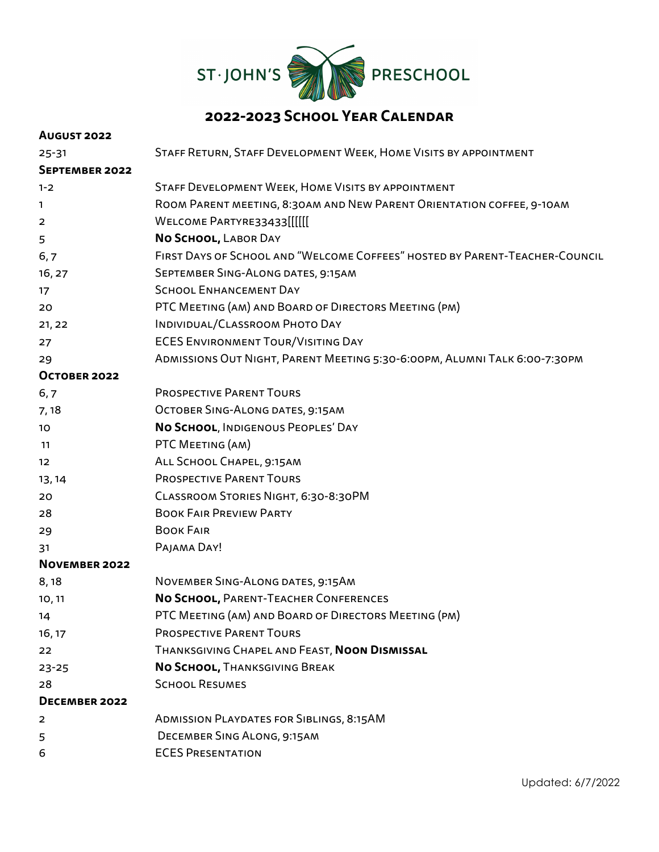

## **2022-2023 School Year Calendar**

| <b>AUGUST 2022</b>  |                                                                             |
|---------------------|-----------------------------------------------------------------------------|
| $25 - 31$           | STAFF RETURN, STAFF DEVELOPMENT WEEK, HOME VISITS BY APPOINTMENT            |
| SEPTEMBER 2022      |                                                                             |
| $1 - 2$             | STAFF DEVELOPMENT WEEK, HOME VISITS BY APPOINTMENT                          |
| $\mathbf{1}$        | ROOM PARENT MEETING, 8:30AM AND NEW PARENT ORIENTATION COFFEE, 9-10AM       |
| $\overline{2}$      | WELCOME PARTYRE33433[[[[[[                                                  |
| 5                   | NO SCHOOL, LABOR DAY                                                        |
| 6, 7                | FIRST DAYS OF SCHOOL AND "WELCOME COFFEES" HOSTED BY PARENT-TEACHER-COUNCIL |
| 16, 27              | SEPTEMBER SING-ALONG DATES, 9:15AM                                          |
| 17                  | <b>SCHOOL ENHANCEMENT DAY</b>                                               |
| 20                  | PTC MEETING (AM) AND BOARD OF DIRECTORS MEETING (PM)                        |
| 21, 22              | INDIVIDUAL/CLASSROOM PHOTO DAY                                              |
| 27                  | <b>ECES ENVIRONMENT TOUR/VISITING DAY</b>                                   |
| 29                  | ADMISSIONS OUT NIGHT, PARENT MEETING 5:30-6:00PM, ALUMNI TALK 6:00-7:30PM   |
| <b>OCTOBER 2022</b> |                                                                             |
| 6,7                 | <b>PROSPECTIVE PARENT TOURS</b>                                             |
| 7,18                | OCTOBER SING-ALONG DATES, 9:15AM                                            |
| 10 <sub>o</sub>     | NO SCHOOL, INDIGENOUS PEOPLES' DAY                                          |
| 11                  | PTC MEETING (AM)                                                            |
| 12 <sup>2</sup>     | ALL SCHOOL CHAPEL, 9:15AM                                                   |
| 13, 14              | <b>PROSPECTIVE PARENT TOURS</b>                                             |
| 20                  | CLASSROOM STORIES NIGHT, 6:30-8:30PM                                        |
| 28                  | <b>BOOK FAIR PREVIEW PARTY</b>                                              |
| 29                  | <b>BOOK FAIR</b>                                                            |
| 31                  | PAJAMA DAY!                                                                 |
| NOVEMBER 2022       |                                                                             |
| 8,18                | NOVEMBER SING-ALONG DATES, 9:15AM                                           |
| 10, 11              | NO SCHOOL, PARENT-TEACHER CONFERENCES                                       |
| 14                  | PTC MEETING (AM) AND BOARD OF DIRECTORS MEETING (PM)                        |
| 16, 17              | <b>PROSPECTIVE PARENT TOURS</b>                                             |
| 22                  | THANKSGIVING CHAPEL AND FEAST, NOON DISMISSAL                               |
| $23 - 25$           | NO SCHOOL, THANKSGIVING BREAK                                               |
| 28                  | <b>SCHOOL RESUMES</b>                                                       |
| DECEMBER 2022       |                                                                             |
| 2                   | <b>ADMISSION PLAYDATES FOR SIBLINGS, 8:15AM</b>                             |
| 5                   | DECEMBER SING ALONG, 9:15AM                                                 |
| 6                   | <b>ECES PRESENTATION</b>                                                    |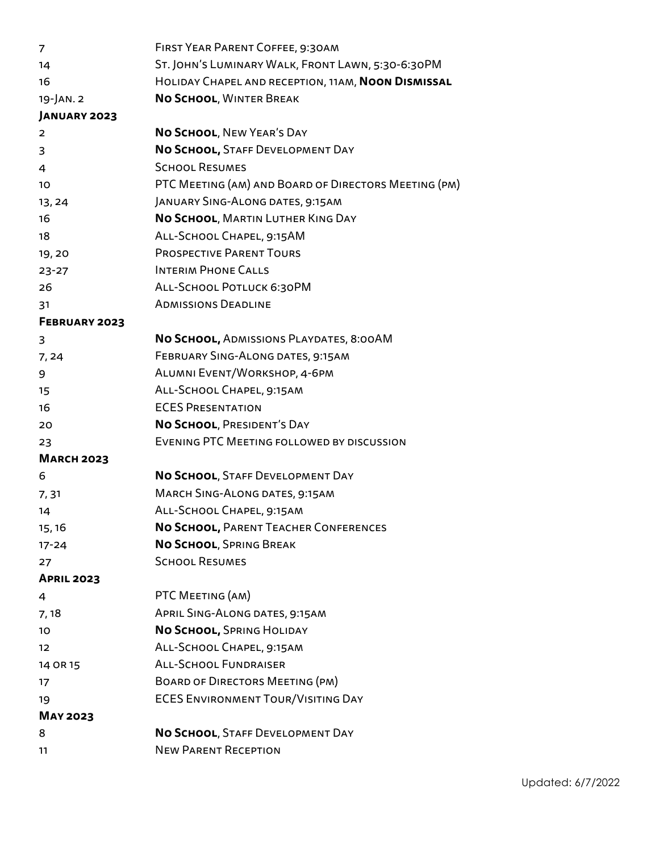| 7                 | FIRST YEAR PARENT COFFEE, 9:30AM                     |
|-------------------|------------------------------------------------------|
| 14                | ST. JOHN'S LUMINARY WALK, FRONT LAWN, 5:30-6:30PM    |
| 16                | HOLIDAY CHAPEL AND RECEPTION, 11AM, NOON DISMISSAL   |
| 19-JAN. 2         | NO SCHOOL, WINTER BREAK                              |
| JANUARY 2023      |                                                      |
| 2                 | NO SCHOOL, NEW YEAR'S DAY                            |
| 3                 | NO SCHOOL, STAFF DEVELOPMENT DAY                     |
| 4                 | <b>SCHOOL RESUMES</b>                                |
| 10                | PTC MEETING (AM) AND BOARD OF DIRECTORS MEETING (PM) |
| 13, 24            | JANUARY SING-ALONG DATES, 9:15AM                     |
| 16                | NO SCHOOL, MARTIN LUTHER KING DAY                    |
| 18                | ALL-SCHOOL CHAPEL, 9:15AM                            |
| 19,20             | <b>PROSPECTIVE PARENT TOURS</b>                      |
| $23 - 27$         | <b>INTERIM PHONE CALLS</b>                           |
| 26                | ALL-SCHOOL POTLUCK 6:30PM                            |
| 31                | <b>ADMISSIONS DEADLINE</b>                           |
| FEBRUARY 2023     |                                                      |
| 3                 | No SCHOOL, ADMISSIONS PLAYDATES, 8:00AM              |
| 7,24              | FEBRUARY SING-ALONG DATES, 9:15AM                    |
| 9                 | ALUMNI EVENT/WORKSHOP, 4-6PM                         |
| 15                | ALL-SCHOOL CHAPEL, 9:15AM                            |
| 16                | <b>ECES PRESENTATION</b>                             |
| 20                | NO SCHOOL, PRESIDENT'S DAY                           |
| 23                | EVENING PTC MEETING FOLLOWED BY DISCUSSION           |
| <b>MARCH 2023</b> |                                                      |
| 6                 | NO SCHOOL, STAFF DEVELOPMENT DAY                     |
| 7,31              | <b>MARCH SING-ALONG DATES, 9:15AM</b>                |
| 14                | ALL-SCHOOL CHAPEL, 9:15AM                            |
| 15, 16            | NO SCHOOL, PARENT TEACHER CONFERENCES                |
| $17 - 24$         | NO SCHOOL, SPRING BREAK                              |
| 27                | <b>SCHOOL RESUMES</b>                                |
| <b>APRIL 2023</b> |                                                      |
| 4                 | PTC MEETING (AM)                                     |
| 7,18              | APRIL SING-ALONG DATES, 9:15AM                       |
| 10                | No SCHOOL, SPRING HOLIDAY                            |
| 12                | ALL-SCHOOL CHAPEL, 9:15AM                            |
| 14 OR 15          | <b>ALL-SCHOOL FUNDRAISER</b>                         |
| 17                | <b>BOARD OF DIRECTORS MEETING (PM)</b>               |
| 19                | <b>ECES ENVIRONMENT TOUR/VISITING DAY</b>            |
| <b>MAY 2023</b>   |                                                      |
| 8                 | NO SCHOOL, STAFF DEVELOPMENT DAY                     |
| 11                | <b>NEW PARENT RECEPTION</b>                          |